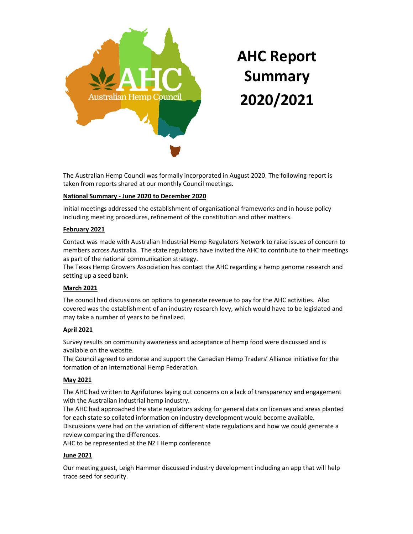

# AHC Report Summary 2020/2021

The Australian Hemp Council was formally incorporated in August 2020. The following report is taken from reports shared at our monthly Council meetings.

# National Summary - June 2020 to December 2020

Initial meetings addressed the establishment of organisational frameworks and in house policy including meeting procedures, refinement of the constitution and other matters.

# February 2021

Contact was made with Australian Industrial Hemp Regulators Network to raise issues of concern to members across Australia. The state regulators have invited the AHC to contribute to their meetings as part of the national communication strategy.

The Texas Hemp Growers Association has contact the AHC regarding a hemp genome research and setting up a seed bank.

# March 2021

The council had discussions on options to generate revenue to pay for the AHC activities. Also covered was the establishment of an industry research levy, which would have to be legislated and may take a number of years to be finalized.

# April 2021

Survey results on community awareness and acceptance of hemp food were discussed and is available on the website.

The Council agreed to endorse and support the Canadian Hemp Traders' Alliance initiative for the formation of an International Hemp Federation.

# May 2021

The AHC had written to Agrifutures laying out concerns on a lack of transparency and engagement with the Australian industrial hemp industry.

The AHC had approached the state regulators asking for general data on licenses and areas planted for each state so collated information on industry development would become available.

Discussions were had on the variation of different state regulations and how we could generate a review comparing the differences.

AHC to be represented at the NZ I Hemp conference

# June 2021

Our meeting guest, Leigh Hammer discussed industry development including an app that will help trace seed for security.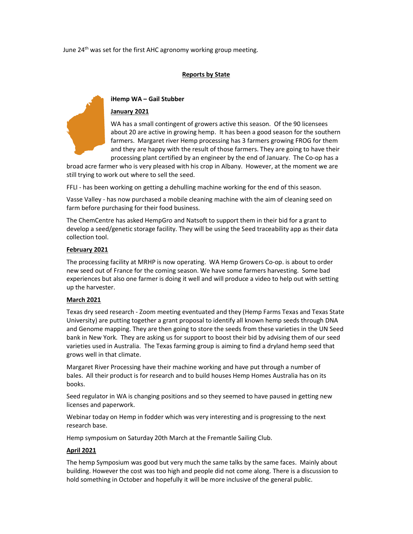June  $24<sup>th</sup>$  was set for the first AHC agronomy working group meeting.

# Reports by State



# iHemp WA – Gail Stubber

# January 2021

WA has a small contingent of growers active this season. Of the 90 licensees about 20 are active in growing hemp. It has been a good season for the southern farmers. Margaret river Hemp processing has 3 farmers growing FROG for them and they are happy with the result of those farmers. They are going to have their processing plant certified by an engineer by the end of January. The Co-op has a

broad acre farmer who is very pleased with his crop in Albany. However, at the moment we are still trying to work out where to sell the seed.

FFLI - has been working on getting a dehulling machine working for the end of this season.

Vasse Valley - has now purchased a mobile cleaning machine with the aim of cleaning seed on farm before purchasing for their food business.

The ChemCentre has asked HempGro and Natsoft to support them in their bid for a grant to develop a seed/genetic storage facility. They will be using the Seed traceability app as their data collection tool.

# February 2021

The processing facility at MRHP is now operating. WA Hemp Growers Co-op. is about to order new seed out of France for the coming season. We have some farmers harvesting. Some bad experiences but also one farmer is doing it well and will produce a video to help out with setting up the harvester.

# March 2021

Texas dry seed research - Zoom meeting eventuated and they (Hemp Farms Texas and Texas State University) are putting together a grant proposal to identify all known hemp seeds through DNA and Genome mapping. They are then going to store the seeds from these varieties in the UN Seed bank in New York. They are asking us for support to boost their bid by advising them of our seed varieties used in Australia. The Texas farming group is aiming to find a dryland hemp seed that grows well in that climate.

Margaret River Processing have their machine working and have put through a number of bales. All their product is for research and to build houses Hemp Homes Australia has on its books.

Seed regulator in WA is changing positions and so they seemed to have paused in getting new licenses and paperwork.

Webinar today on Hemp in fodder which was very interesting and is progressing to the next research base.

Hemp symposium on Saturday 20th March at the Fremantle Sailing Club.

# April 2021

The hemp Symposium was good but very much the same talks by the same faces. Mainly about building. However the cost was too high and people did not come along. There is a discussion to hold something in October and hopefully it will be more inclusive of the general public.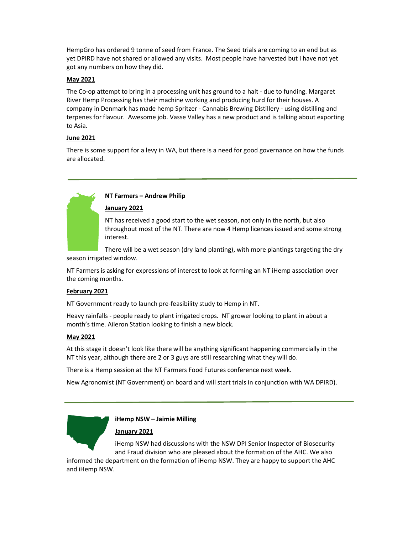HempGro has ordered 9 tonne of seed from France. The Seed trials are coming to an end but as yet DPIRD have not shared or allowed any visits. Most people have harvested but I have not yet got any numbers on how they did.

# May 2021

The Co-op attempt to bring in a processing unit has ground to a halt - due to funding. Margaret River Hemp Processing has their machine working and producing hurd for their houses. A company in Denmark has made hemp Spritzer - Cannabis Brewing Distillery - using distilling and terpenes for flavour. Awesome job. Vasse Valley has a new product and is talking about exporting to Asia.

# June 2021

There is some support for a levy in WA, but there is a need for good governance on how the funds are allocated.

# NT Farmers – Andrew Philip

# January 2021

NT has received a good start to the wet season, not only in the north, but also throughout most of the NT. There are now 4 Hemp licences issued and some strong interest.

There will be a wet season (dry land planting), with more plantings targeting the dry season irrigated window.

NT Farmers is asking for expressions of interest to look at forming an NT iHemp association over the coming months.

# February 2021

NT Government ready to launch pre-feasibility study to Hemp in NT.

Heavy rainfalls - people ready to plant irrigated crops. NT grower looking to plant in about a month's time. Aileron Station looking to finish a new block.

# May 2021

At this stage it doesn't look like there will be anything significant happening commercially in the NT this year, although there are 2 or 3 guys are still researching what they will do.

There is a Hemp session at the NT Farmers Food Futures conference next week.

New Agronomist (NT Government) on board and will start trials in conjunction with WA DPIRD).

# iHemp NSW – Jaimie Milling

# January 2021

iHemp NSW had discussions with the NSW DPI Senior Inspector of Biosecurity and Fraud division who are pleased about the formation of the AHC. We also

informed the department on the formation of iHemp NSW. They are happy to support the AHC and iHemp NSW.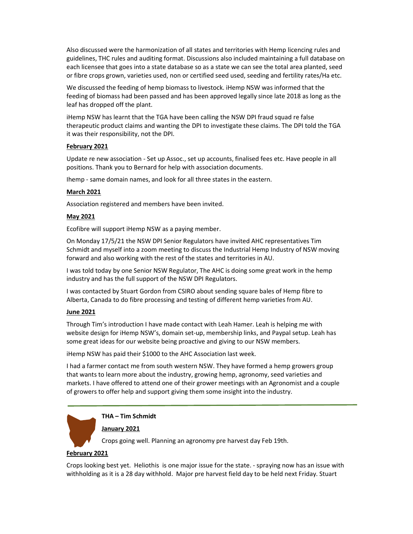Also discussed were the harmonization of all states and territories with Hemp licencing rules and guidelines, THC rules and auditing format. Discussions also included maintaining a full database on each licensee that goes into a state database so as a state we can see the total area planted, seed or fibre crops grown, varieties used, non or certified seed used, seeding and fertility rates/Ha etc.

We discussed the feeding of hemp biomass to livestock. iHemp NSW was informed that the feeding of biomass had been passed and has been approved legally since late 2018 as long as the leaf has dropped off the plant.

iHemp NSW has learnt that the TGA have been calling the NSW DPI fraud squad re false therapeutic product claims and wanting the DPI to investigate these claims. The DPI told the TGA it was their responsibility, not the DPI.

## February 2021

Update re new association - Set up Assoc., set up accounts, finalised fees etc. Have people in all positions. Thank you to Bernard for help with association documents.

Ihemp - same domain names, and look for all three states in the eastern.

### March 2021

Association registered and members have been invited.

#### May 2021

Ecofibre will support iHemp NSW as a paying member.

On Monday 17/5/21 the NSW DPI Senior Regulators have invited AHC representatives Tim Schmidt and myself into a zoom meeting to discuss the Industrial Hemp Industry of NSW moving forward and also working with the rest of the states and territories in AU.

I was told today by one Senior NSW Regulator, The AHC is doing some great work in the hemp industry and has the full support of the NSW DPI Regulators.

I was contacted by Stuart Gordon from CSIRO about sending square bales of Hemp fibre to Alberta, Canada to do fibre processing and testing of different hemp varieties from AU.

#### June 2021

Through Tim's introduction I have made contact with Leah Hamer. Leah is helping me with website design for iHemp NSW's, domain set-up, membership links, and Paypal setup. Leah has some great ideas for our website being proactive and giving to our NSW members.

iHemp NSW has paid their \$1000 to the AHC Association last week.

I had a farmer contact me from south western NSW. They have formed a hemp growers group that wants to learn more about the industry, growing hemp, agronomy, seed varieties and markets. I have offered to attend one of their grower meetings with an Agronomist and a couple of growers to offer help and support giving them some insight into the industry.

# THA – Tim Schmidt

### January 2021

Crops going well. Planning an agronomy pre harvest day Feb 19th.

### February 2021

Crops looking best yet. Heliothis is one major issue for the state. - spraying now has an issue with withholding as it is a 28 day withhold. Major pre harvest field day to be held next Friday. Stuart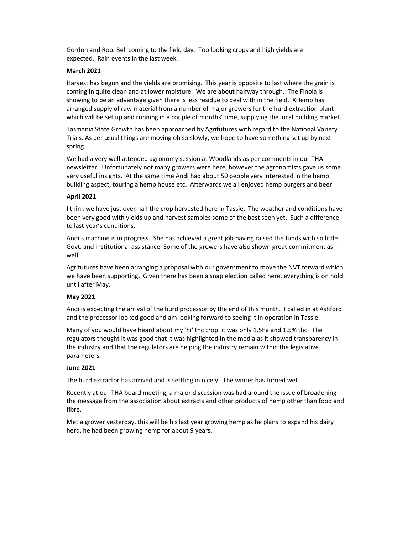Gordon and Rob. Bell coming to the field day. Top looking crops and high yields are expected. Rain events in the last week.

# March 2021

Harvest has begun and the yields are promising. This year is opposite to last where the grain is coming in quite clean and at lower moisture. We are about halfway through. The Finola is showing to be an advantage given there is less residue to deal with in the field. XHemp has arranged supply of raw material from a number of major growers for the hurd extraction plant which will be set up and running in a couple of months' time, supplying the local building market.

Tasmania State Growth has been approached by Agrifutures with regard to the National Variety Trials. As per usual things are moving oh so slowly, we hope to have something set up by next spring.

We had a very well attended agronomy session at Woodlands as per comments in our THA newsletter. Unfortunately not many growers were here, however the agronomists gave us some very useful insights. At the same time Andi had about 50 people very interested in the hemp building aspect, touring a hemp house etc. Afterwards we all enjoyed hemp burgers and beer.

# April 2021

I think we have just over half the crop harvested here in Tassie. The weather and conditions have been very good with yields up and harvest samples some of the best seen yet. Such a difference to last year's conditions.

Andi's machine is in progress. She has achieved a great job having raised the funds with so little Govt. and institutional assistance. Some of the growers have also shown great commitment as well.

Agrifutures have been arranging a proposal with our government to move the NVT forward which we have been supporting. Given there has been a snap election called here, everything is on hold until after May.

# May 2021

Andi is expecting the arrival of the hurd processor by the end of this month. I called in at Ashford and the processor looked good and am looking forward to seeing it in operation in Tassie.

Many of you would have heard about my 'hi' thc crop, it was only 1.5ha and 1.5% thc. The regulators thought it was good that it was highlighted in the media as it showed transparency in the industry and that the regulators are helping the industry remain within the legislative parameters.

# June 2021

The hurd extractor has arrived and is settling in nicely. The winter has turned wet.

Recently at our THA board meeting, a major discussion was had around the issue of broadening the message from the association about extracts and other products of hemp other than food and fibre.

Met a grower yesterday, this will be his last year growing hemp as he plans to expand his dairy herd, he had been growing hemp for about 9 years.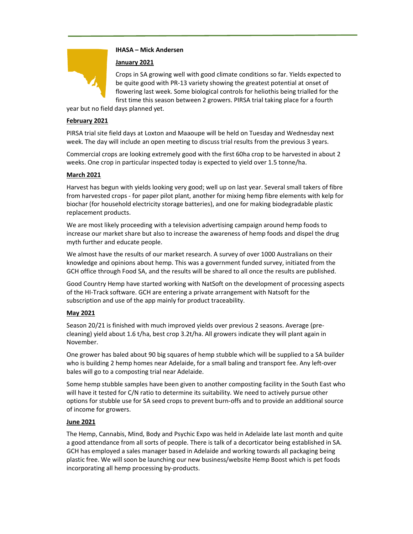# IHASA – Mick Andersen

# January 2021

Crops in SA growing well with good climate conditions so far. Yields expected to be quite good with PR-13 variety showing the greatest potential at onset of flowering last week. Some biological controls for heliothis being trialled for the first time this season between 2 growers. PIRSA trial taking place for a fourth

year but no field days planned yet.

# February 2021

PIRSA trial site field days at Loxton and Maaoupe will be held on Tuesday and Wednesday next week. The day will include an open meeting to discuss trial results from the previous 3 years.

Commercial crops are looking extremely good with the first 60ha crop to be harvested in about 2 weeks. One crop in particular inspected today is expected to yield over 1.5 tonne/ha.

# March 2021

Harvest has begun with yields looking very good; well up on last year. Several small takers of fibre from harvested crops - for paper pilot plant, another for mixing hemp fibre elements with kelp for biochar (for household electricity storage batteries), and one for making biodegradable plastic replacement products.

We are most likely proceeding with a television advertising campaign around hemp foods to increase our market share but also to increase the awareness of hemp foods and dispel the drug myth further and educate people.

We almost have the results of our market research. A survey of over 1000 Australians on their knowledge and opinions about hemp. This was a government funded survey, initiated from the GCH office through Food SA, and the results will be shared to all once the results are published.

Good Country Hemp have started working with NatSoft on the development of processing aspects of the HI-Track software. GCH are entering a private arrangement with Natsoft for the subscription and use of the app mainly for product traceability.

# May 2021

Season 20/21 is finished with much improved yields over previous 2 seasons. Average (precleaning) yield about 1.6 t/ha, best crop 3.2t/ha. All growers indicate they will plant again in November.

One grower has baled about 90 big squares of hemp stubble which will be supplied to a SA builder who is building 2 hemp homes near Adelaide, for a small baling and transport fee. Any left-over bales will go to a composting trial near Adelaide.

Some hemp stubble samples have been given to another composting facility in the South East who will have it tested for C/N ratio to determine its suitability. We need to actively pursue other options for stubble use for SA seed crops to prevent burn-offs and to provide an additional source of income for growers.

# June 2021

The Hemp, Cannabis, Mind, Body and Psychic Expo was held in Adelaide late last month and quite a good attendance from all sorts of people. There is talk of a decorticator being established in SA. GCH has employed a sales manager based in Adelaide and working towards all packaging being plastic free. We will soon be launching our new business/website Hemp Boost which is pet foods incorporating all hemp processing by-products.